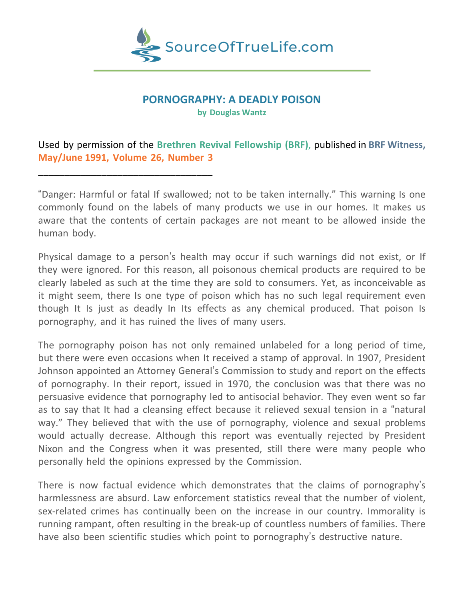

#### **PORNOGRAPHY: A DEADLY POISON**

**by Douglas Wantz**

## Used by permission of the **Brethren Revival Fellowship (BRF)**, published in **BRF Witness, May/June 1991, Volume 26, Number 3**

\_\_\_\_\_\_\_\_\_\_\_\_\_\_\_\_\_\_\_\_\_\_\_\_\_\_\_\_\_\_\_\_\_

"Danger: Harmful or fatal If swallowed; not to be taken internally." This warning Is one commonly found on the labels of many products we use in our homes. It makes us aware that the contents of certain packages are not meant to be allowed inside the human body.

Physical damage to a person's health may occur if such warnings did not exist, or If they were ignored. For this reason, all poisonous chemical products are required to be clearly labeled as such at the time they are sold to consumers. Yet, as inconceivable as it might seem, there Is one type of poison which has no such legal requirement even though It Is just as deadly In Its effects as any chemical produced. That poison Is pornography, and it has ruined the lives of many users.

The pornography poison has not only remained unlabeled for a long period of time, but there were even occasions when It received a stamp of approval. In 1907, President Johnson appointed an Attorney General's Commission to study and report on the effects of pornography. In their report, issued in 1970, the conclusion was that there was no persuasive evidence that pornography led to antisocial behavior. They even went so far as to say that It had a cleansing effect because it relieved sexual tension in a "natural way." They believed that with the use of pornography, violence and sexual problems would actually decrease. Although this report was eventually rejected by President Nixon and the Congress when it was presented, still there were many people who personally held the opinions expressed by the Commission.

There is now factual evidence which demonstrates that the claims of pornography's harmlessness are absurd. Law enforcement statistics reveal that the number of violent, sex-related crimes has continually been on the increase in our country. Immorality is running rampant, often resulting in the break-up of countless numbers of families. There have also been scientific studies which point to pornography's destructive nature.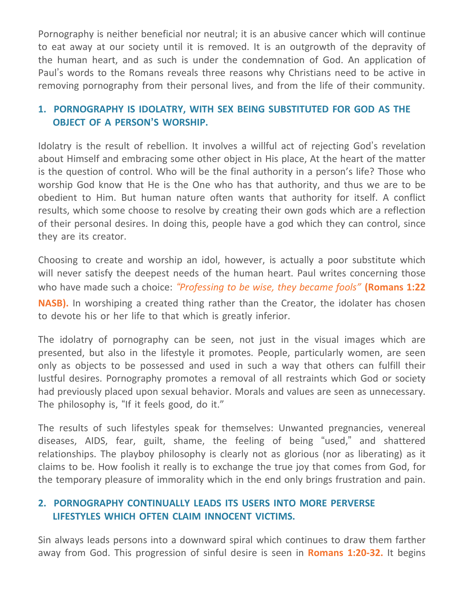Pornography is neither beneficial nor neutral; it is an abusive cancer which will continue to eat away at our society until it is removed. It is an outgrowth of the depravity of the human heart, and as such is under the condemnation of God. An application of Paul's words to the Romans reveals three reasons why Christians need to be active in removing pornography from their personal lives, and from the life of their community.

## **1. PORNOGRAPHY IS IDOLATRY, WITH SEX BEING SUBSTITUTED FOR GOD AS THE OBJECT OF A PERSON'S WORSHIP.**

Idolatry is the result of rebellion. It involves a willful act of rejecting God's revelation about Himself and embracing some other object in His place, At the heart of the matter is the question of control. Who will be the final authority in a person's life? Those who worship God know that He is the One who has that authority, and thus we are to be obedient to Him. But human nature often wants that authority for itself. A conflict results, which some choose to resolve by creating their own gods which are a reflection of their personal desires. In doing this, people have a god which they can control, since they are its creator.

Choosing to create and worship an idol, however, is actually a poor substitute which will never satisfy the deepest needs of the human heart. Paul writes concerning those who have made such a choice: *"Professing to be wise, they became fools"* **(Romans 1:22 NASB).** In worshiping a created thing rather than the Creator, the idolater has chosen to devote his or her life to that which is greatly inferior.

The idolatry of pornography can be seen, not just in the visual images which are presented, but also in the lifestyle it promotes. People, particularly women, are seen only as objects to be possessed and used in such a way that others can fulfill their lustful desires. Pornography promotes a removal of all restraints which God or society had previously placed upon sexual behavior. Morals and values are seen as unnecessary. The philosophy is, "If it feels good, do it."

The results of such lifestyles speak for themselves: Unwanted pregnancies, venereal diseases, AIDS, fear, guilt, shame, the feeling of being "used," and shattered relationships. The playboy philosophy is clearly not as glorious (nor as liberating) as it claims to be. How foolish it really is to exchange the true joy that comes from God, for the temporary pleasure of immorality which in the end only brings frustration and pain.

## **2. PORNOGRAPHY CONTINUALLY LEADS ITS USERS INTO MORE PERVERSE LIFESTYLES WHICH OFTEN CLAIM INNOCENT VICTIMS.**

Sin always leads persons into a downward spiral which continues to draw them farther away from God. This progression of sinful desire is seen in **Romans 1:20-32.** It begins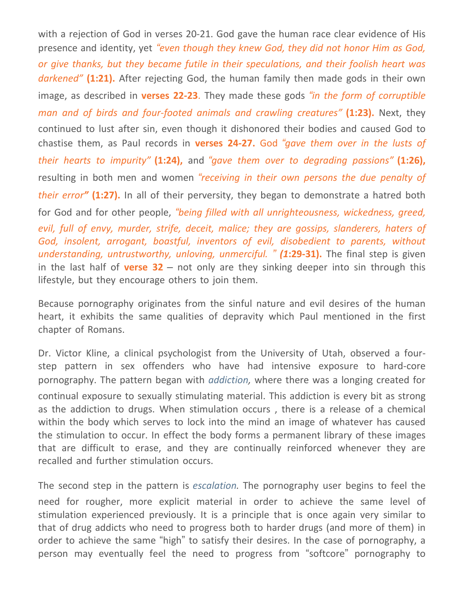with a rejection of God in verses 20-21. God gave the human race clear evidence of His presence and identity, yet *"even though they knew God, they did not honor Him as God, or give thanks, but they became futile in their speculations, and their foolish heart was darkened"* **(1:21).** After rejecting God, the human family then made gods in their own image, as described in **verses 22-23**. They made these gods *"in the form of corruptible man and of birds and four-footed animals and crawling creatures"* **(1:23).** Next, they continued to lust after sin, even though it dishonored their bodies and caused God to chastise them, as Paul records in **verses 24-27.** God *"gave them over in the lusts of their hearts to impurity"* **(1:24),** and *"gave them over to degrading passions"* **(1:26),** resulting in both men and women *"receiving in their own persons the due penalty of their error"* **(1:27).** In all of their perversity, they began to demonstrate a hatred both for God and for other people, *"being filled with all unrighteousness, wickedness, greed, evil, full of envy, murder, strife, deceit, malice; they are gossips, slanderers, haters of God, insolent, arrogant, boastful, inventors of evil, disobedient to parents, without understanding, untrustworthy, unloving, unmerciful. " (1***:29-31).** The final step is given in the last half of **verse 32** – not only are they sinking deeper into sin through this lifestyle, but they encourage others to join them.

Because pornography originates from the sinful nature and evil desires of the human heart, it exhibits the same qualities of depravity which Paul mentioned in the first chapter of Romans.

Dr. Victor Kline, a clinical psychologist from the University of Utah, observed a fourstep pattern in sex offenders who have had intensive exposure to hard-core pornography. The pattern began with *addiction,* where there was a longing created for continual exposure to sexually stimulating material. This addiction is every bit as strong as the addiction to drugs. When stimulation occurs , there is a release of a chemical within the body which serves to lock into the mind an image of whatever has caused the stimulation to occur. In effect the body forms a permanent library of these images that are difficult to erase, and they are continually reinforced whenever they are recalled and further stimulation occurs.

The second step in the pattern is *escalation.* The pornography user begins to feel the need for rougher, more explicit material in order to achieve the same level of stimulation experienced previously. It is a principle that is once again very similar to that of drug addicts who need to progress both to harder drugs (and more of them) in order to achieve the same "high" to satisfy their desires. In the case of pornography, a person may eventually feel the need to progress from "softcore" pornography to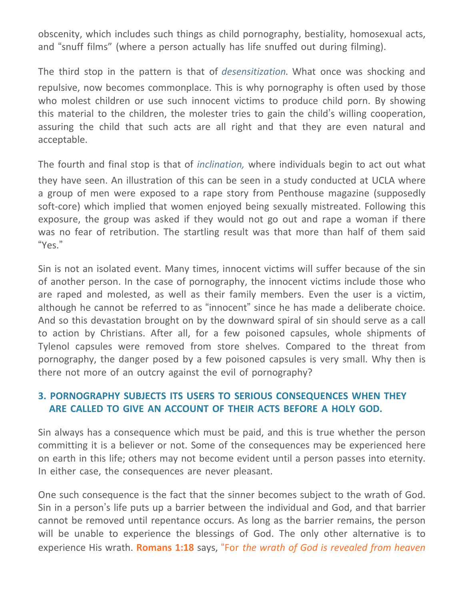obscenity, which includes such things as child pornography, bestiality, homosexual acts, and "snuff films" (where a person actually has life snuffed out during filming).

The third stop in the pattern is that of *desensitization.* What once was shocking and repulsive, now becomes commonplace. This is why pornography is often used by those who molest children or use such innocent victims to produce child porn. By showing this material to the children, the molester tries to gain the child's willing cooperation, assuring the child that such acts are all right and that they are even natural and acceptable.

The fourth and final stop is that of *inclination,* where individuals begin to act out what they have seen. An illustration of this can be seen in a study conducted at UCLA where a group of men were exposed to a rape story from Penthouse magazine (supposedly soft-core) which implied that women enjoyed being sexually mistreated. Following this exposure, the group was asked if they would not go out and rape a woman if there was no fear of retribution. The startling result was that more than half of them said "Yes."

Sin is not an isolated event. Many times, innocent victims will suffer because of the sin of another person. In the case of pornography, the innocent victims include those who are raped and molested, as well as their family members. Even the user is a victim, although he cannot be referred to as "innocent" since he has made a deliberate choice. And so this devastation brought on by the downward spiral of sin should serve as a call to action by Christians. After all, for a few poisoned capsules, whole shipments of Tylenol capsules were removed from store shelves. Compared to the threat from pornography, the danger posed by a few poisoned capsules is very small. Why then is there not more of an outcry against the evil of pornography?

### **3. PORNOGRAPHY SUBJECTS ITS USERS TO SERIOUS CONSEQUENCES WHEN THEY ARE CALLED TO GIVE AN ACCOUNT OF THEIR ACTS BEFORE A HOLY GOD.**

Sin always has a consequence which must be paid, and this is true whether the person committing it is a believer or not. Some of the consequences may be experienced here on earth in this life; others may not become evident until a person passes into eternity. In either case, the consequences are never pleasant.

One such consequence is the fact that the sinner becomes subject to the wrath of God. Sin in a person's life puts up a barrier between the individual and God, and that barrier cannot be removed until repentance occurs. As long as the barrier remains, the person will be unable to experience the blessings of God. The only other alternative is to experience His wrath. **Romans 1:18** says, "For *the wrath of God is revealed from heaven*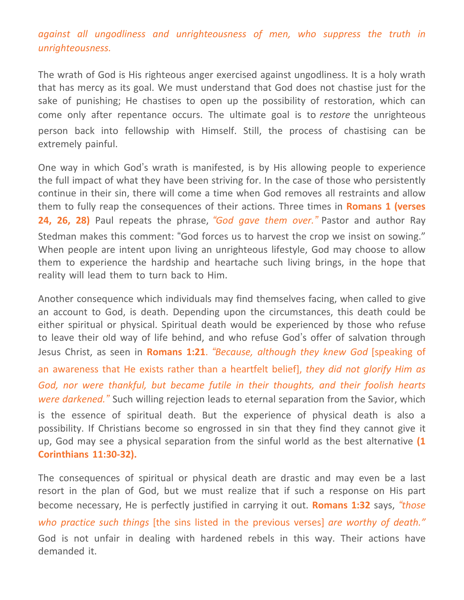# *against all ungodliness and unrighteousness of men, who suppress the truth in unrighteousness.*

The wrath of God is His righteous anger exercised against ungodliness. It is a holy wrath that has mercy as its goal. We must understand that God does not chastise just for the sake of punishing; He chastises to open up the possibility of restoration, which can come only after repentance occurs. The ultimate goal is to *restore* the unrighteous person back into fellowship with Himself. Still, the process of chastising can be extremely painful.

One way in which God's wrath is manifested, is by His allowing people to experience the full impact of what they have been striving for. In the case of those who persistently continue in their sin, there will come a time when God removes all restraints and allow them to fully reap the consequences of their actions. Three times in **Romans 1 (verses 24, 26, 28)** Paul repeats the phrase, *"God gave them over."* Pastor and author Ray Stedman makes this comment: "God forces us to harvest the crop we insist on sowing." When people are intent upon living an unrighteous lifestyle, God may choose to allow them to experience the hardship and heartache such living brings, in the hope that reality will lead them to turn back to Him.

Another consequence which individuals may find themselves facing, when called to give an account to God, is death. Depending upon the circumstances, this death could be either spiritual or physical. Spiritual death would be experienced by those who refuse to leave their old way of life behind, and who refuse God's offer of salvation through Jesus Christ, as seen in **Romans 1:21**. *"Because, although they knew God* [speaking of an awareness that He exists rather than a heartfelt belief], *they did not glorify Him as God, nor were thankful, but became futile in their thoughts, and their foolish hearts were darkened."* Such willing rejection leads to eternal separation from the Savior, which is the essence of spiritual death. But the experience of physical death is also a possibility. If Christians become so engrossed in sin that they find they cannot give it up, God may see a physical separation from the sinful world as the best alternative **(1 Corinthians 11:30-32).**

The consequences of spiritual or physical death are drastic and may even be a last resort in the plan of God, but we must realize that if such a response on His part become necessary, He is perfectly justified in carrying it out. **Romans 1:32** says, *"those who practice such things* [the sins listed in the previous verses] *are worthy of death."* God is not unfair in dealing with hardened rebels in this way. Their actions have demanded it.